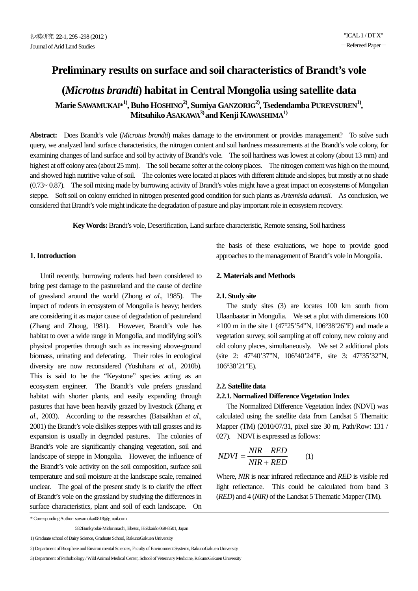# **Preliminary results on surface and soil characteristics of Brandt's vole**

**(***Microtus brandti***) habitat in Central Mongolia using satellite data** Marie SAWAMUKAI\*<sup>1)</sup>, Buho HOSHINO<sup>2)</sup>, Sumiya GANZORIG<sup>2)</sup>, Tsedendamba PUREVSUREN<sup>1)</sup>, **Mitsuhiko ASAKAWA3) and Kenji KAWASHIMA1)**

**Abstract:** Does Brandt's vole (*Microtus brandti*) makes damage to the environment or provides management? To solve such query, we analyzed land surface characteristics, the nitrogen content and soil hardness measurements at the Brandt's vole colony, for examining changes of land surface and soil by activity of Brandt's vole. The soil hardness was lowest at colony (about 13 mm) and highest at off colony area (about 25 mm). The soil became softer at the colony places. The nitrogen content was high on the mound, and showed high nutritive value of soil. The colonies were located at places with different altitude and slopes, but mostly at no shade (0.73~ 0.87). The soil mixing made by burrowing activity of Brandt's voles might have a great impact on ecosystems of Mongolian steppe. Soft soil on colony enriched in nitrogen presented good condition for such plants as *Artemisia adamsii*. As conclusion, we considered that Brandt's vole might indicate the degradation of pasture and play important role in ecosystem recovery.

**Key Words:** Brandt's vole, Desertification, Land surface characteristic, Remote sensing, Soil hardness

# **1. Introduction**

 Until recently, burrowing rodents had been considered to bring pest damage to the pastureland and the cause of decline of grassland around the world (Zhong *et al*., 1985). The impact of rodents in ecosystem of Mongolia is heavy; herders are considering it as major cause of degradation of pastureland (Zhang and Zhoug, 1981). However, Brandt's vole has habitat to over a wide range in Mongolia, and modifying soil's physical properties through such as increasing above-ground biomass, urinating and defecating. Their roles in ecological diversity are now reconsidered (Yoshihara *et al.*, 2010b). This is said to be the "Keystone" species acting as an ecosystem engineer. The Brandt's vole prefers grassland habitat with shorter plants, and easily expanding through pastures that have been heavily grazed by livestock (Zhang *et al*., 2003). According to the researches (Batsaikhan *et al*., 2001) the Brandt's vole dislikes steppes with tall grasses and its expansion is usually in degraded pastures. The colonies of Brandt's vole are significantly changing vegetation, soil and landscape of steppe in Mongolia. However, the influence of the Brandt's vole activity on the soil composition, surface soil temperature and soil moisture at the landscape scale, remained unclear. The goal of the present study is to clarify the effect of Brandt's vole on the grassland by studying the differences in surface characteristics, plant and soil of each landscape. On

the basis of these evaluations, we hope to provide good approaches to the management of Brandt's vole in Mongolia.

# **2. Materials and Methods**

# **2.1. Study site**

 The study sites (3) are locates 100 km south from Ulaanbaatar in Mongolia. We set a plot with dimensions 100  $\times$ 100 m in the site 1 (47°25'54''N, 106°38'26''E) and made a vegetation survey, soil sampling at off colony, new colony and old colony places, simultaneously. We set 2 additional plots (site 2: 47°40'37"N, 106°40'24"E, site 3: 47°35'32"N, 106°38'21"E).

## **2.2. Satellite data**

# **2.2.1. Normalized Difference Vegetation Index**

 The Normalized Difference Vegetation Index (NDVI) was calculated using the satellite data from Landsat 5 Themaitic Mapper (TM) (2010/07/31, pixel size 30 m, Path/Row: 131 / 027). NDVI is expressed as follows:

$$
NDVI = \frac{NIR - RED}{NIR + RED} \tag{1}
$$

Where, *NIR* is near infrared reflectance and *RED* is visible red light reflectance. This could be calculated from band 3 (*RED*) and 4 (*NIR)* of the Landsat 5 Thematic Mapper (TM).

582Bunkyodai-Midorimachi, Ebetsu, Hokkaido 068-8501, Japan

<sup>\*</sup> Corresponding Author: sawamukai0818@gmail.com

<sup>1)</sup> Graduate school of Dairy Science, Graduate School, RakunoGakuen University

<sup>2)</sup> Department of Biosphere and Environ mental Sciences, Faculty of Environment Systems, RakunoGakuen University

<sup>3)</sup> Department of Pathobiology / Wild Animal Medical Center, School of Veterinary Medicine, RakunoGakuen University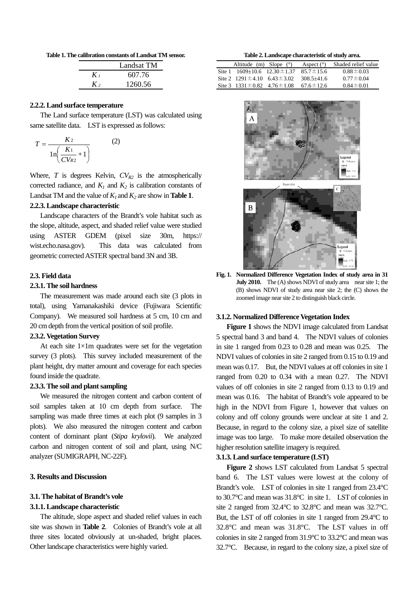**Table 1. The calibration constants of Landsat TM sensor.**

|         | Landsat TM |
|---------|------------|
| $K_{I}$ | 607.76     |
| $K_{2}$ | 1260.56    |

# **2.2.2. Land surface temperature**

 The Land surface temperature (LST) was calculated using same satellite data. LST is expressed as follows:

$$
T = \frac{K_2}{\ln\left(\frac{K_1}{CV_{R2}} + 1\right)}\tag{2}
$$

Where,  $T$  is degrees Kelvin,  $CV_{R2}$  is the atmospherically corrected radiance, and  $K_1$  and  $K_2$  is calibration constants of Landsat TM and the value of  $K_1$  and  $K_2$  are show in **Table 1**.

# **2.2.3. Landscape characteristic**

 Landscape characters of the Brandt's vole habitat such as the slope, altitude, aspect, and shaded relief value were studied using ASTER GDEM (pixel size 30m, https:// wist.echo.nasa.gov). This data was calculated from geometric corrected ASTER spectral band 3N and 3B.

## **2.3. Field data**

# **2.3.1. The soil hardness**

 The measurement was made around each site (3 plots in total), using Yamanakashiki device (Fujiwara Scientific Company). We measured soil hardness at 5 cm, 10 cm and 20 cm depth from the vertical position of soil profile.

# **2.3.2. Vegetation Survey**

At each site  $1\times1$ m quadrates were set for the vegetation survey (3 plots). This survey included measurement of the plant height, dry matter amount and coverage for each species found inside the quadrate.

# **2.3.3. The soil and plant sampling**

 We measured the nitrogen content and carbon content of soil samples taken at 10 cm depth from surface. The sampling was made three times at each plot (9 samples in 3 plots). We also measured the nitrogen content and carbon content of dominant plant (*Stipa krylovii*). We analyzed carbon and nitrogen content of soil and plant, using N/C analyzer (SUMIGRAPH, NC-22F).

# **3. Results and Discussion**

#### **3.1. The habitat of Brandt's vole**

# **3.1.1. Landscape characteristic**

 The altitude, slope aspect and shaded relief values in each site was shown in **Table 2**. Colonies of Brandt's vole at all three sites located obviously at un-shaded, bright places. Other landscape characteristics were highly varied.

**Table 2. Landscape characteristic of study area.**

| Altitude (m) Slope $(°)$               | Aspect $(°)$    | Shaded relief value |
|----------------------------------------|-----------------|---------------------|
| Site 1 1609+10.6 12.30 $\pm$ 1.37      | $85.7 \pm 15.6$ | $0.88 \pm 0.03$     |
| Site 2 $1291 \pm 4.10$ $6.43 \pm 3.02$ | $308.5 + 41.6$  | $0.77 \pm 0.04$     |
| Site 3 $1331 \pm 0.82$ $4.76 \pm 1.08$ | $67.6 \pm 12.6$ | $0.84 \pm 0.01$     |
|                                        |                 |                     |



**Fig. 1. Normalized Difference Vegetation Index of study area in 31 July 2010.** The (A) shows NDVI of study area near site 1; the (B) shows NDVI of study area near site 2; the (C) shows the zoomed image near site 2 to distinguish black circle.

#### **3.1.2. Normalized Difference Vegetation Index**

 **Figure 1** shows the NDVI image calculated from Landsat 5 spectral band 3 and band 4. The NDVI values of colonies in site 1 ranged from 0.23 to 0.28 and mean was 0.25. The NDVI values of colonies in site 2 ranged from 0.15 to 0.19 and mean was 0.17. But, the NDVI values at off colonies in site 1 ranged from 0.20 to 0.34 with a mean 0.27. The NDVI values of off colonies in site 2 ranged from 0.13 to 0.19 and mean was 0.16. The habitat of Brandt's vole appeared to be high in the NDVI from Figure 1, however that values on colony and off colony grounds were unclear at site 1 and 2. Because, in regard to the colony size, a pixel size of satellite image was too large. To make more detailed observation the higher resolution satellite imagery is required.

## **3.1.3. Land surface temperature (LST)**

 **Figure 2** shows LST calculated from Landsat 5 spectral band 6. The LST values were lowest at the colony of Brandt's vole. LST of colonies in site 1 ranged from 23.4°C to 30.7°C and mean was 31.8°C in site 1. LST of colonies in site 2 ranged from 32.4°C to 32.8°C and mean was 32.7°C. But, the LST of off colonies in site 1 ranged from 29.4°C to 32.8°C and mean was 31.8°C. The LST values in off colonies in site 2 ranged from 31.9°C to 33.2°C and mean was 32.7°C. Because, in regard to the colony size, a pixel size of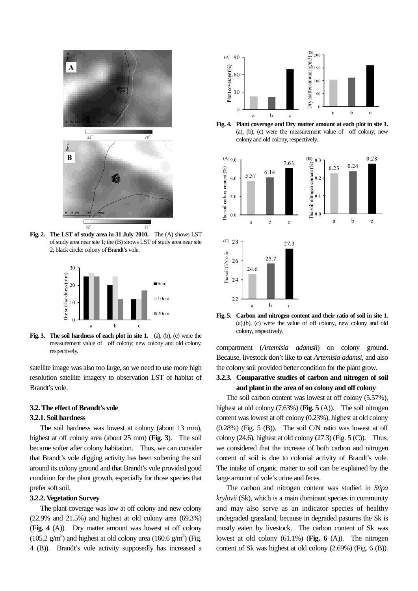

**Fig. 2. The LST of study area in 31 July 2010.** The (A) shows LST of study area near site 1; the (B) shows LST of study area near site 2; black circle: colony of Brandt's vole.



**Fig. 3. The soil hardness of each plot in site 1.** (a), (b), (c) were the measurement value of off colony; new colony and old colony, respectively.

satellite image was also too large, so we need to use more high resolution satellite imagery to observation LST of habitat of Brandt's vole.

# **3.2. The effect of Brandt's vole**

# **3.2.1. Soil hardness**

 The soil hardness was lowest at colony (about 13 mm), highest at off colony area (about 25 mm) (**Fig. 3**). The soil became softer after colony habitation. Thus, we can consider that Brandt's vole digging activity has been softening the soil around its colony ground and that Brandt's vole provided good condition for the plant growth, especially for those species that prefer soft soil.

#### **3.2.2. Vegetation Survey**

 The plant coverage was low at off colony and new colony (22.9% and 21.5%) and highest at old colony area (69.3%) (**Fig. 4** (A)). Dry matter amount was lowest at off colony (105.2  $\text{g/m}^2$ ) and highest at old colony area (160.6  $\text{g/m}^2$ ) (Fig. 4 (B)). Brandt's vole activity supposedly has increased a



**Fig. 4. Plant coverage and Dry matter amount at each plot in site 1.** (a), (b), (c) were the measurement value of off colony; new colony and old colony, respectively.



**Fig. 5. Carbon and nitrogen content and their ratio of soil in site 1.**  (a),(b), (c) were the value of off colony, new colony and old colony, respectively.

compartment (*Artemisia adamsii*) on colony ground. Because, livestock don't like to eat *Artemisia adamsi,* and also the colony soil provided better condition for the plant grow*.* 

# **3.2.3. Comparative studies of carbon and nitrogen of soil and plant in the area of on colony and off colony**

 The soil carbon content was lowest at off colony (5.57%), highest at old colony (7.63%) (**Fig. 5** (A)). The soil nitrogen content was lowest at off colony (0.23%), highest at old colony (0.28%) (Fig. 5 (B)). The soil C/N ratio was lowest at off colony (24.6), highest at old colony (27.3) (Fig. 5 (C)). Thus, we considered that the increase of both carbon and nitrogen content of soil is due to colonial activity of Brandt's vole. The intake of organic matter to soil can be explained by the large amount of vole's urine and feces.

 The carbon and nitrogen content was studied in *Stipa krylovii* (Sk), which is a main dominant species in community and may also serve as an indicator species of healthy undegraded grassland, because in degraded pastures the Sk is mostly eaten by livestock. The carbon content of Sk was lowest at old colony (61.1%) (**Fig. 6** (A)). The nitrogen content of Sk was highest at old colony (2.69%) (Fig. 6 (B)).